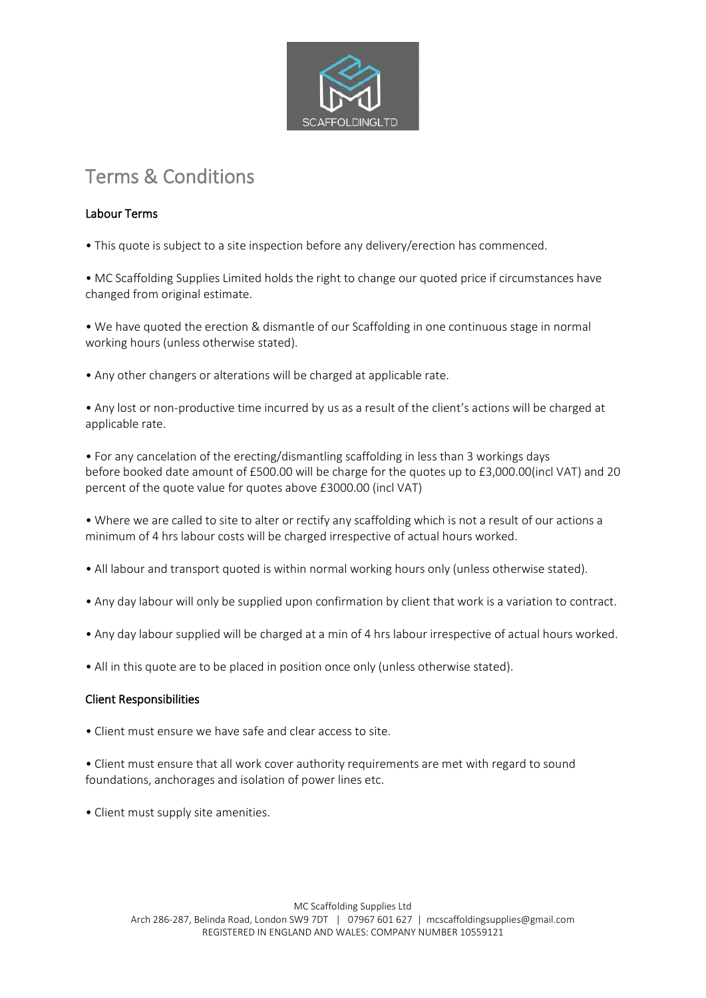

# Terms & Conditions

## Labour Terms

• This quote is subject to a site inspection before any delivery/erection has commenced.

• MC Scaffolding Supplies Limited holds the right to change our quoted price if circumstances have changed from original estimate.

• We have quoted the erection & dismantle of our Scaffolding in one continuous stage in normal working hours (unless otherwise stated).

• Any other changers or alterations will be charged at applicable rate.

• Any lost or non-productive time incurred by us as a result of the client's actions will be charged at applicable rate.

• For any cancelation of the erecting/dismantling scaffolding in less than 3 workings days before booked date amount of £500.00 will be charge for the quotes up to £3,000.00(incl VAT) and 20 percent of the quote value for quotes above £3000.00 (incl VAT)

• Where we are called to site to alter or rectify any scaffolding which is not a result of our actions a minimum of 4 hrs labour costs will be charged irrespective of actual hours worked.

- All labour and transport quoted is within normal working hours only (unless otherwise stated).
- Any day labour will only be supplied upon confirmation by client that work is a variation to contract.
- Any day labour supplied will be charged at a min of 4 hrs labour irrespective of actual hours worked.
- All in this quote are to be placed in position once only (unless otherwise stated).

## Client Responsibilities

- Client must ensure we have safe and clear access to site.
- Client must ensure that all work cover authority requirements are met with regard to sound foundations, anchorages and isolation of power lines etc.
- Client must supply site amenities.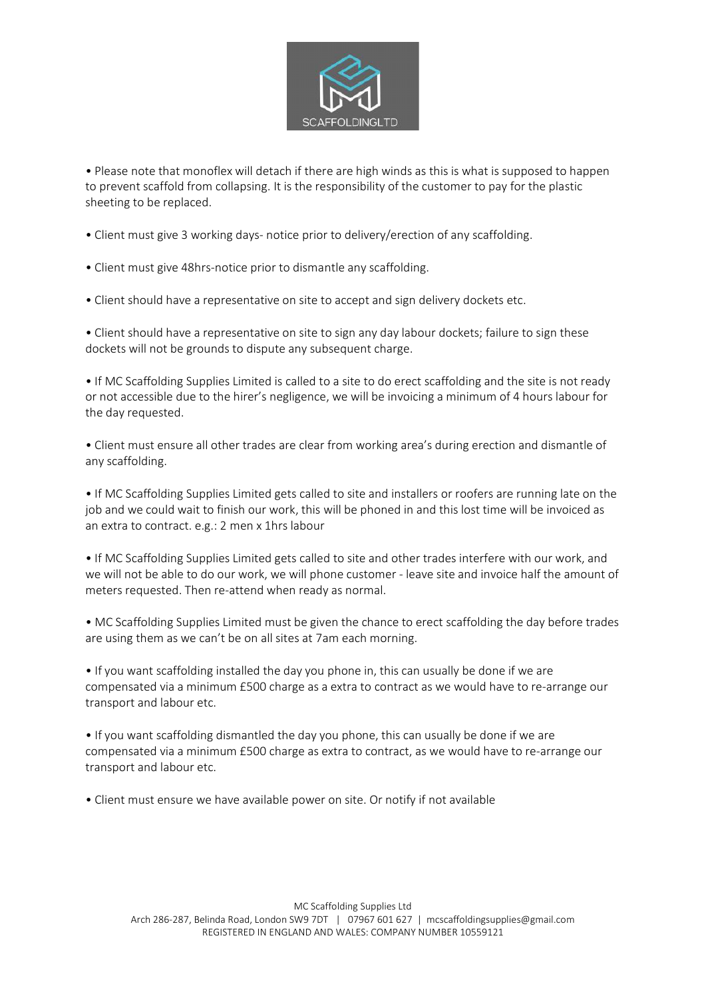

• Please note that monoflex will detach if there are high winds as this is what is supposed to happen to prevent scaffold from collapsing. It is the responsibility of the customer to pay for the plastic sheeting to be replaced.

- Client must give 3 working days- notice prior to delivery/erection of any scaffolding.
- Client must give 48hrs-notice prior to dismantle any scaffolding.
- Client should have a representative on site to accept and sign delivery dockets etc.

• Client should have a representative on site to sign any day labour dockets; failure to sign these dockets will not be grounds to dispute any subsequent charge.

• If MC Scaffolding Supplies Limited is called to a site to do erect scaffolding and the site is not ready or not accessible due to the hirer's negligence, we will be invoicing a minimum of 4 hours labour for the day requested.

• Client must ensure all other trades are clear from working area's during erection and dismantle of any scaffolding.

• If MC Scaffolding Supplies Limited gets called to site and installers or roofers are running late on the job and we could wait to finish our work, this will be phoned in and this lost time will be invoiced as an extra to contract. e.g.: 2 men x 1hrs labour

• If MC Scaffolding Supplies Limited gets called to site and other trades interfere with our work, and we will not be able to do our work, we will phone customer - leave site and invoice half the amount of meters requested. Then re-attend when ready as normal.

• MC Scaffolding Supplies Limited must be given the chance to erect scaffolding the day before trades are using them as we can't be on all sites at 7am each morning.

• If you want scaffolding installed the day you phone in, this can usually be done if we are compensated via a minimum £500 charge as a extra to contract as we would have to re-arrange our transport and labour etc.

• If you want scaffolding dismantled the day you phone, this can usually be done if we are compensated via a minimum £500 charge as extra to contract, as we would have to re-arrange our transport and labour etc.

• Client must ensure we have available power on site. Or notify if not available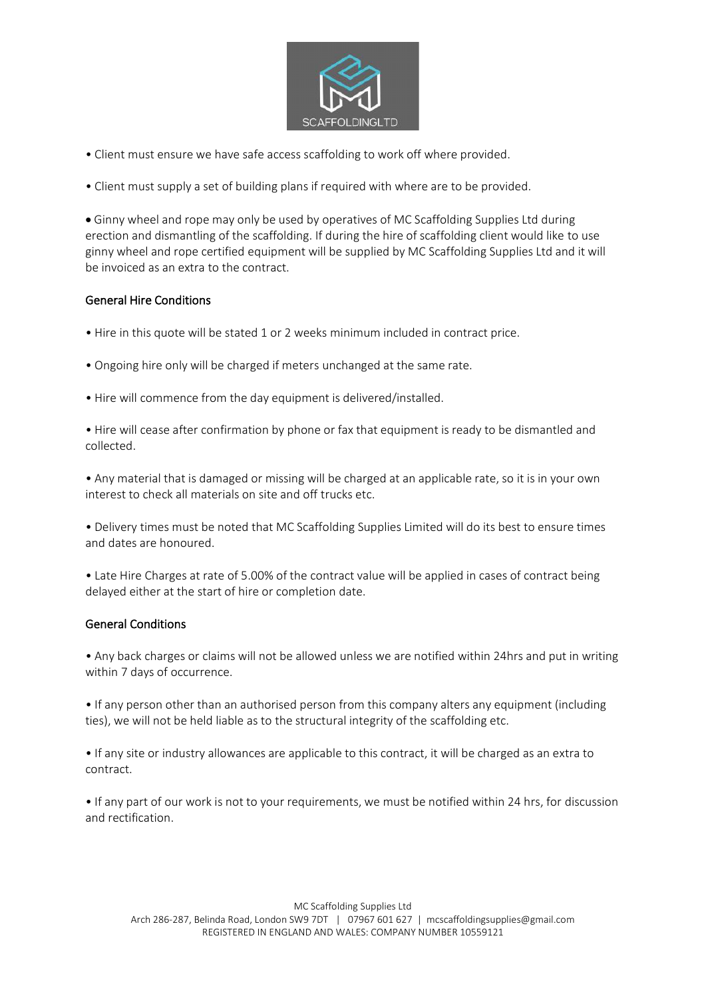

• Client must ensure we have safe access scaffolding to work off where provided.

• Client must supply a set of building plans if required with where are to be provided.

• Ginny wheel and rope may only be used by operatives of MC Scaffolding Supplies Ltd during erection and dismantling of the scaffolding. If during the hire of scaffolding client would like to use ginny wheel and rope certified equipment will be supplied by MC Scaffolding Supplies Ltd and it will be invoiced as an extra to the contract.

### General Hire Conditions

- Hire in this quote will be stated 1 or 2 weeks minimum included in contract price.
- Ongoing hire only will be charged if meters unchanged at the same rate.
- Hire will commence from the day equipment is delivered/installed.

• Hire will cease after confirmation by phone or fax that equipment is ready to be dismantled and collected.

• Any material that is damaged or missing will be charged at an applicable rate, so it is in your own interest to check all materials on site and off trucks etc.

• Delivery times must be noted that MC Scaffolding Supplies Limited will do its best to ensure times and dates are honoured.

• Late Hire Charges at rate of 5.00% of the contract value will be applied in cases of contract being delayed either at the start of hire or completion date.

#### General Conditions

• Any back charges or claims will not be allowed unless we are notified within 24hrs and put in writing within 7 days of occurrence.

• If any person other than an authorised person from this company alters any equipment (including ties), we will not be held liable as to the structural integrity of the scaffolding etc.

• If any site or industry allowances are applicable to this contract, it will be charged as an extra to contract.

• If any part of our work is not to your requirements, we must be notified within 24 hrs, for discussion and rectification.